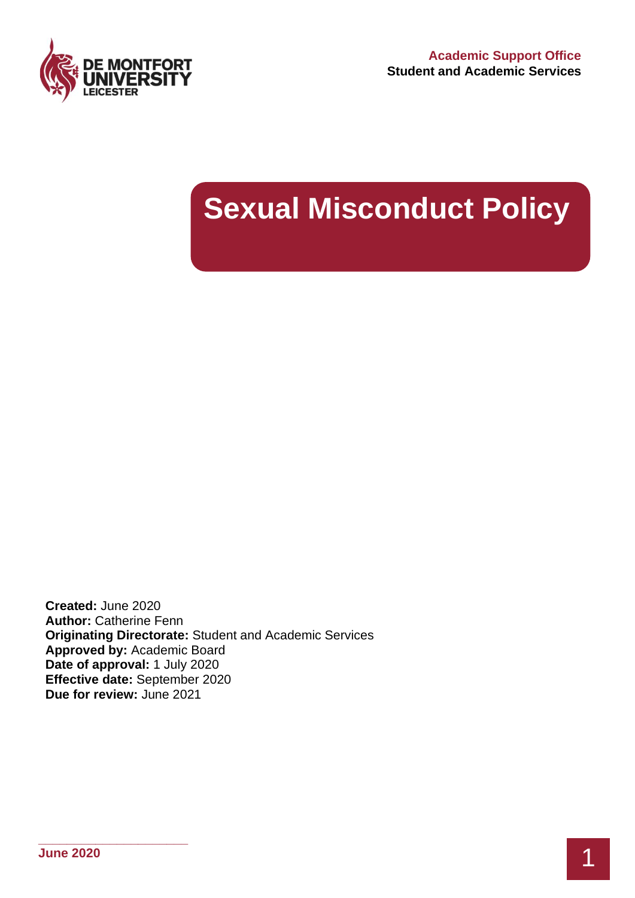

# **Sexual Misconduct Policy**

**Created:** June 2020 **Author:** Catherine Fenn **Originating Directorate:** Student and Academic Services **Approved by:** Academic Board **Date of approval:** 1 July 2020 **Effective date:** September 2020 **Due for review:** June 2021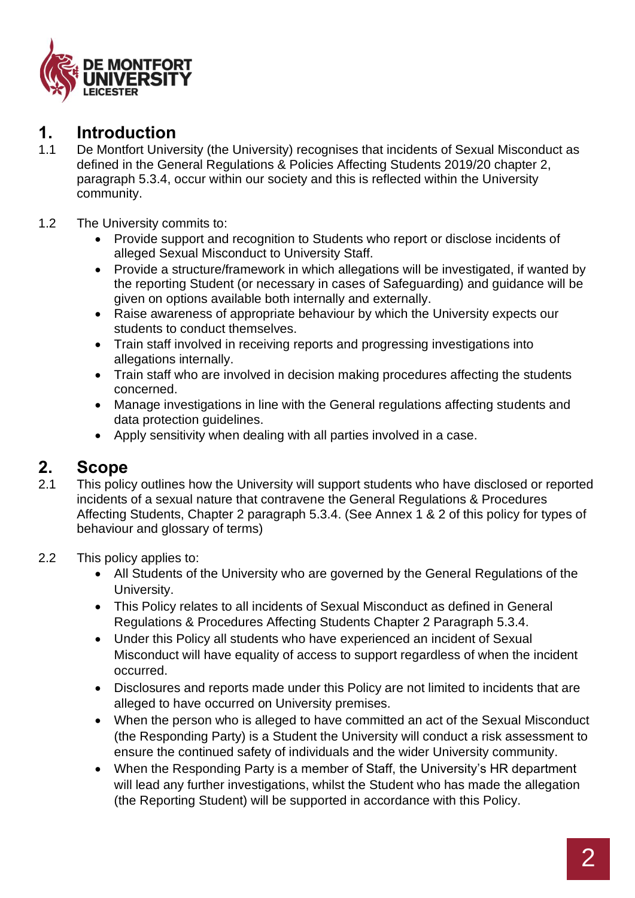

## **1. Introduction**

- 1.1 De Montfort University (the University) recognises that incidents of Sexual Misconduct as defined in the General Regulations & Policies Affecting Students 2019/20 chapter 2, paragraph 5.3.4, occur within our society and this is reflected within the University community.
- 1.2 The University commits to:
	- Provide support and recognition to Students who report or disclose incidents of alleged Sexual Misconduct to University Staff.
	- Provide a structure/framework in which allegations will be investigated, if wanted by the reporting Student (or necessary in cases of Safeguarding) and guidance will be given on options available both internally and externally.
	- Raise awareness of appropriate behaviour by which the University expects our students to conduct themselves.
	- Train staff involved in receiving reports and progressing investigations into allegations internally.
	- Train staff who are involved in decision making procedures affecting the students concerned.
	- Manage investigations in line with the General regulations affecting students and data protection guidelines.
	- Apply sensitivity when dealing with all parties involved in a case.

## **2. Scope**

- 2.1 This policy outlines how the University will support students who have disclosed or reported incidents of a sexual nature that contravene the General Regulations & Procedures Affecting Students, Chapter 2 paragraph 5.3.4. (See Annex 1 & 2 of this policy for types of behaviour and glossary of terms)
- 2.2 This policy applies to:
	- All Students of the University who are governed by the General Regulations of the University.
	- This Policy relates to all incidents of Sexual Misconduct as defined in General Regulations & Procedures Affecting Students Chapter 2 Paragraph 5.3.4.
	- Under this Policy all students who have experienced an incident of Sexual Misconduct will have equality of access to support regardless of when the incident occurred.
	- Disclosures and reports made under this Policy are not limited to incidents that are alleged to have occurred on University premises.
	- When the person who is alleged to have committed an act of the Sexual Misconduct (the Responding Party) is a Student the University will conduct a risk assessment to ensure the continued safety of individuals and the wider University community.
	- When the Responding Party is a member of Staff, the University's HR department will lead any further investigations, whilst the Student who has made the allegation (the Reporting Student) will be supported in accordance with this Policy.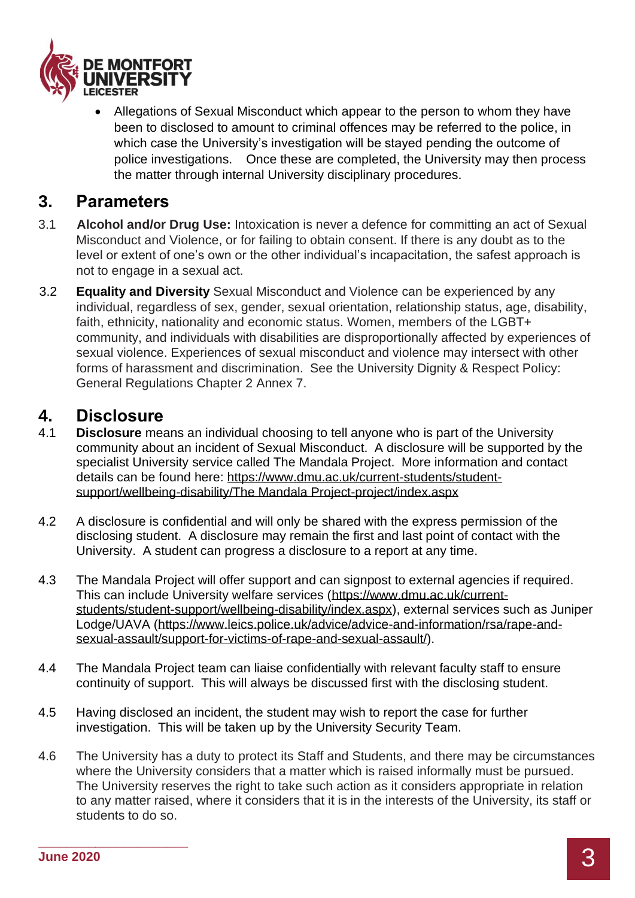

• Allegations of Sexual Misconduct which appear to the person to whom they have been to disclosed to amount to criminal offences may be referred to the police, in which case the University's investigation will be stayed pending the outcome of police investigations. Once these are completed, the University may then process the matter through internal University disciplinary procedures.

### **3. Parameters**

- 3.1 **Alcohol and/or Drug Use:** Intoxication is never a defence for committing an act of Sexual Misconduct and Violence, or for failing to obtain consent. If there is any doubt as to the level or extent of one's own or the other individual's incapacitation, the safest approach is not to engage in a sexual act.
- 3.2 **Equality and Diversity** Sexual Misconduct and Violence can be experienced by any individual, regardless of sex, gender, sexual orientation, relationship status, age, disability, faith, ethnicity, nationality and economic status. Women, members of the LGBT+ community, and individuals with disabilities are disproportionally affected by experiences of sexual violence. Experiences of sexual misconduct and violence may intersect with other forms of harassment and discrimination. See the University Dignity & Respect Policy: General Regulations Chapter 2 Annex 7.

### **4. Disclosure**

- 4.1 **Disclosure** means an individual choosing to tell anyone who is part of the University community about an incident of Sexual Misconduct. A disclosure will be supported by the specialist University service called The Mandala Project. More information and contact details can be found here: https://www.dmu.ac.uk/current-students/studentsupport/wellbeing-disability/The Mandala Project-project/index.aspx
- 4.2 A disclosure is confidential and will only be shared with the express permission of the disclosing student. A disclosure may remain the first and last point of contact with the University. A student can progress a disclosure to a report at any time.
- 4.3 The Mandala Project will offer support and can signpost to external agencies if required. This can include University welfare services (https://www.dmu.ac.uk/currentstudents/student-support/wellbeing-disability/index.aspx), external services such as Juniper Lodge/UAVA (https://www.leics.police.uk/advice/advice-and-information/rsa/rape-andsexual-assault/support-for-victims-of-rape-and-sexual-assault/).
- 4.4 The Mandala Project team can liaise confidentially with relevant faculty staff to ensure continuity of support. This will always be discussed first with the disclosing student.
- 4.5 Having disclosed an incident, the student may wish to report the case for further investigation. This will be taken up by the University Security Team.
- 4.6 The University has a duty to protect its Staff and Students, and there may be circumstances where the University considers that a matter which is raised informally must be pursued. The University reserves the right to take such action as it considers appropriate in relation to any matter raised, where it considers that it is in the interests of the University, its staff or students to do so.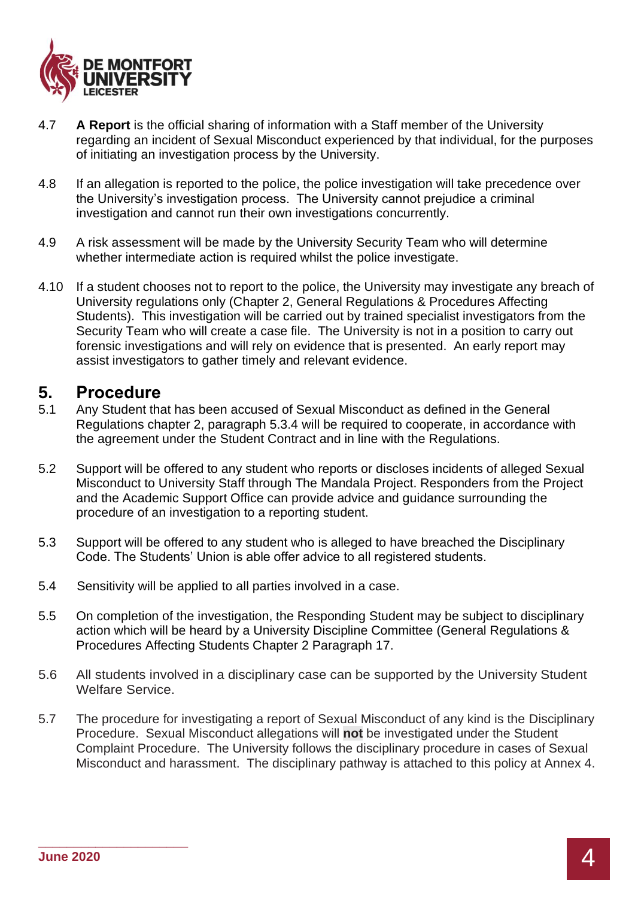

- 4.7 **A Report** is the official sharing of information with a Staff member of the University regarding an incident of Sexual Misconduct experienced by that individual, for the purposes of initiating an investigation process by the University.
- 4.8 If an allegation is reported to the police, the police investigation will take precedence over the University's investigation process. The University cannot prejudice a criminal investigation and cannot run their own investigations concurrently.
- 4.9 A risk assessment will be made by the University Security Team who will determine whether intermediate action is required whilst the police investigate.
- 4.10 If a student chooses not to report to the police, the University may investigate any breach of University regulations only (Chapter 2, General Regulations & Procedures Affecting Students). This investigation will be carried out by trained specialist investigators from the Security Team who will create a case file. The University is not in a position to carry out forensic investigations and will rely on evidence that is presented. An early report may assist investigators to gather timely and relevant evidence.

### **5. Procedure**

- 5.1 Any Student that has been accused of Sexual Misconduct as defined in the General Regulations chapter 2, paragraph 5.3.4 will be required to cooperate, in accordance with the agreement under the Student Contract and in line with the Regulations.
- 5.2 Support will be offered to any student who reports or discloses incidents of alleged Sexual Misconduct to University Staff through The Mandala Project. Responders from the Project and the Academic Support Office can provide advice and guidance surrounding the procedure of an investigation to a reporting student.
- 5.3 Support will be offered to any student who is alleged to have breached the Disciplinary Code. The Students' Union is able offer advice to all registered students.
- 5.4 Sensitivity will be applied to all parties involved in a case.
- 5.5 On completion of the investigation, the Responding Student may be subject to disciplinary action which will be heard by a University Discipline Committee (General Regulations & Procedures Affecting Students Chapter 2 Paragraph 17.
- 5.6 All students involved in a disciplinary case can be supported by the University Student Welfare Service.
- 5.7 The procedure for investigating a report of Sexual Misconduct of any kind is the Disciplinary Procedure. Sexual Misconduct allegations will **not** be investigated under the Student Complaint Procedure. The University follows the disciplinary procedure in cases of Sexual Misconduct and harassment. The disciplinary pathway is attached to this policy at Annex 4.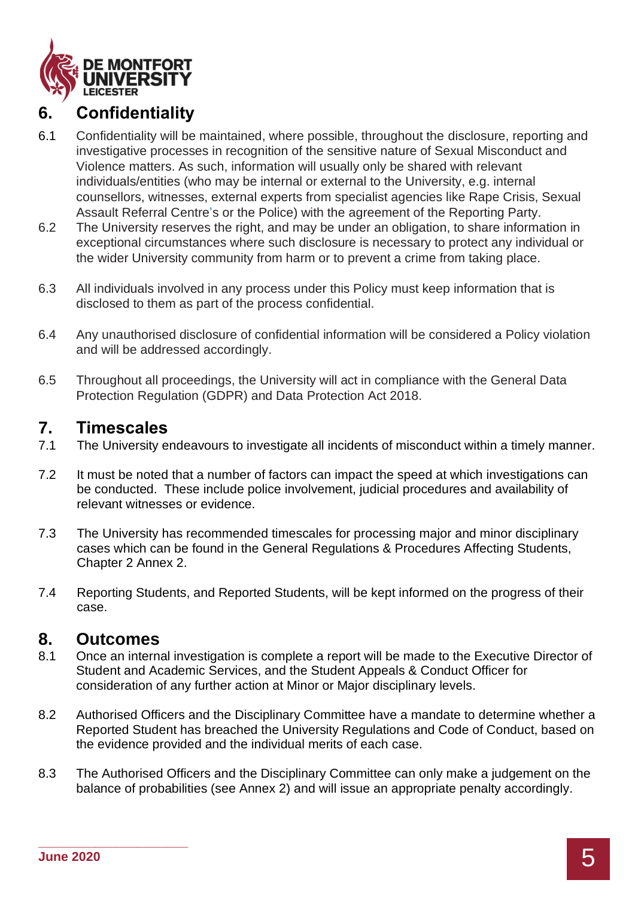

# **6. Confidentiality**

- 6.1 Confidentiality will be maintained, where possible, throughout the disclosure, reporting and investigative processes in recognition of the sensitive nature of Sexual Misconduct and Violence matters. As such, information will usually only be shared with relevant individuals/entities (who may be internal or external to the University, e.g. internal counsellors, witnesses, external experts from specialist agencies like Rape Crisis, Sexual Assault Referral Centre's or the Police) with the agreement of the Reporting Party.
- 6.2 The University reserves the right, and may be under an obligation, to share information in exceptional circumstances where such disclosure is necessary to protect any individual or the wider University community from harm or to prevent a crime from taking place.
- 6.3 All individuals involved in any process under this Policy must keep information that is disclosed to them as part of the process confidential.
- 6.4 Any unauthorised disclosure of confidential information will be considered a Policy violation and will be addressed accordingly.
- 6.5 Throughout all proceedings, the University will act in compliance with the General Data Protection Regulation (GDPR) and Data Protection Act 2018.

### **7. Timescales**

- 7.1 The University endeavours to investigate all incidents of misconduct within a timely manner.
- 7.2 It must be noted that a number of factors can impact the speed at which investigations can be conducted. These include police involvement, judicial procedures and availability of relevant witnesses or evidence.
- 7.3 The University has recommended timescales for processing major and minor disciplinary cases which can be found in the General Regulations & Procedures Affecting Students, Chapter 2 Annex 2.
- 7.4 Reporting Students, and Reported Students, will be kept informed on the progress of their case.

### **8. Outcomes**

- 8.1 Once an internal investigation is complete a report will be made to the Executive Director of Student and Academic Services, and the Student Appeals & Conduct Officer for consideration of any further action at Minor or Major disciplinary levels.
- 8.2 Authorised Officers and the Disciplinary Committee have a mandate to determine whether a Reported Student has breached the University Regulations and Code of Conduct, based on the evidence provided and the individual merits of each case.
- 8.3 The Authorised Officers and the Disciplinary Committee can only make a judgement on the balance of probabilities (see Annex 2) and will issue an appropriate penalty accordingly.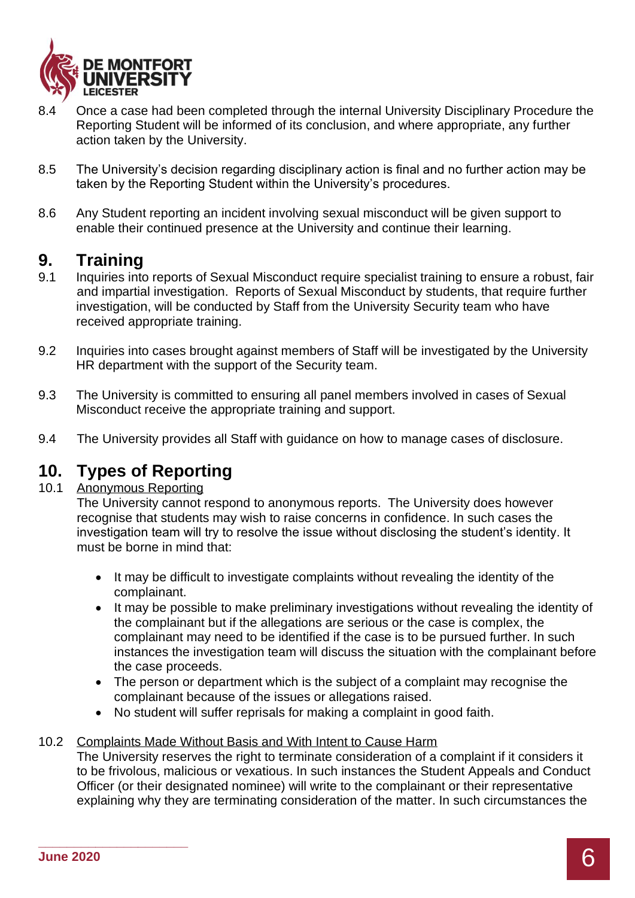

- 8.4 Once a case had been completed through the internal University Disciplinary Procedure the Reporting Student will be informed of its conclusion, and where appropriate, any further action taken by the University.
- 8.5 The University's decision regarding disciplinary action is final and no further action may be taken by the Reporting Student within the University's procedures.
- 8.6 Any Student reporting an incident involving sexual misconduct will be given support to enable their continued presence at the University and continue their learning.

### **9. Training**

- 9.1 Inquiries into reports of Sexual Misconduct require specialist training to ensure a robust, fair and impartial investigation. Reports of Sexual Misconduct by students, that require further investigation, will be conducted by Staff from the University Security team who have received appropriate training.
- 9.2 Inquiries into cases brought against members of Staff will be investigated by the University HR department with the support of the Security team.
- 9.3 The University is committed to ensuring all panel members involved in cases of Sexual Misconduct receive the appropriate training and support.
- 9.4 The University provides all Staff with guidance on how to manage cases of disclosure.

## **10. Types of Reporting**

#### 10.1 Anonymous Reporting

The University cannot respond to anonymous reports. The University does however recognise that students may wish to raise concerns in confidence. In such cases the investigation team will try to resolve the issue without disclosing the student's identity. It must be borne in mind that:

- It may be difficult to investigate complaints without revealing the identity of the complainant.
- It may be possible to make preliminary investigations without revealing the identity of the complainant but if the allegations are serious or the case is complex, the complainant may need to be identified if the case is to be pursued further. In such instances the investigation team will discuss the situation with the complainant before the case proceeds.
- The person or department which is the subject of a complaint may recognise the complainant because of the issues or allegations raised.
- No student will suffer reprisals for making a complaint in good faith.

#### 10.2 Complaints Made Without Basis and With Intent to Cause Harm

The University reserves the right to terminate consideration of a complaint if it considers it to be frivolous, malicious or vexatious. In such instances the Student Appeals and Conduct Officer (or their designated nominee) will write to the complainant or their representative explaining why they are terminating consideration of the matter. In such circumstances the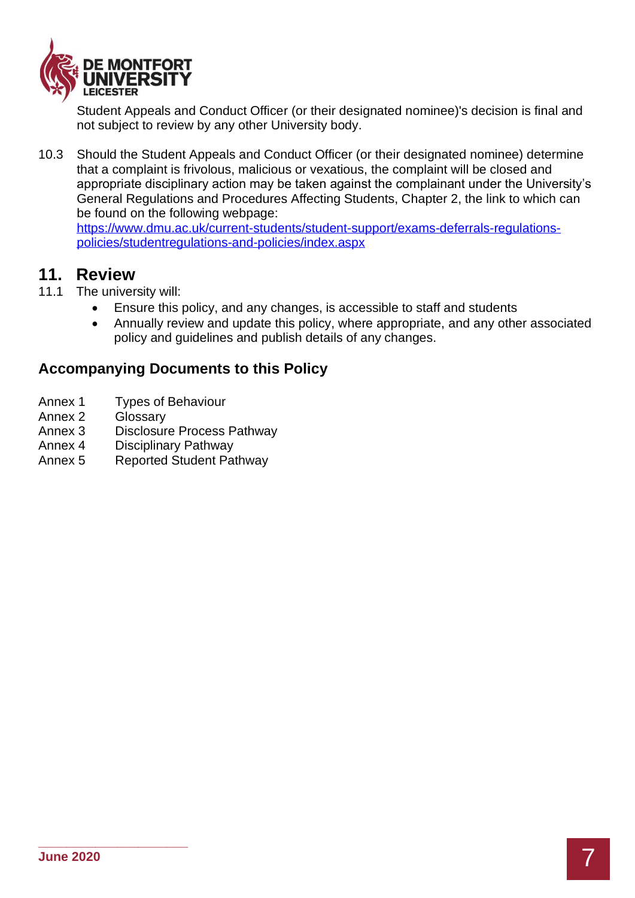

Student Appeals and Conduct Officer (or their designated nominee)'s decision is final and not subject to review by any other University body.

10.3 Should the Student Appeals and Conduct Officer (or their designated nominee) determine that a complaint is frivolous, malicious or vexatious, the complaint will be closed and appropriate disciplinary action may be taken against the complainant under the University's General Regulations and Procedures Affecting Students, Chapter 2, the link to which can be found on the following webpage:

[https://www.dmu.ac.uk/current-students/student-support/exams-deferrals-regulations](https://www.dmu.ac.uk/current-students/student-support/exams-deferrals-regulations-policies/studentregulations-and-policies/index.aspx)[policies/studentregulations-and-policies/index.aspx](https://www.dmu.ac.uk/current-students/student-support/exams-deferrals-regulations-policies/studentregulations-and-policies/index.aspx)

## **11. Review**

- 11.1 The university will:
	- Ensure this policy, and any changes, is accessible to staff and students
	- Annually review and update this policy, where appropriate, and any other associated policy and guidelines and publish details of any changes.

### **Accompanying Documents to this Policy**

- Annex 1 Types of Behaviour
- Annex 2 Glossary
- Annex 3 Disclosure Process Pathway
- Annex 4 Disciplinary Pathway
- Annex 5 Reported Student Pathway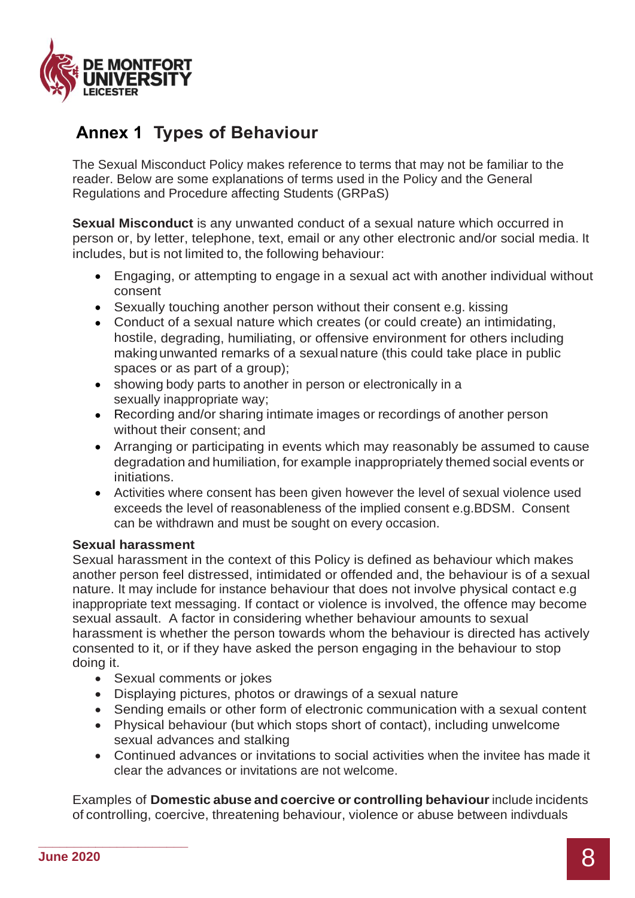

# **Annex 1 Types of Behaviour**

The Sexual Misconduct Policy makes reference to terms that may not be familiar to the reader. Below are some explanations of terms used in the Policy and the General Regulations and Procedure affecting Students (GRPaS)

**Sexual Misconduct** is any unwanted conduct of a sexual nature which occurred in person or, by letter, telephone, text, email or any other electronic and/or social media. It includes, but is not limited to, the following behaviour:

- Engaging, or attempting to engage in a sexual act with another individual without consent
- Sexually touching another person without their consent e.g. kissing
- Conduct of a sexual nature which creates (or could create) an intimidating, hostile, degrading, humiliating, or offensive environment for others including makingunwanted remarks of a sexualnature (this could take place in public spaces or as part of a group):
- showing body parts to another in person or electronically in a sexually inappropriate way;
- Recording and/or sharing intimate images or recordings of another person without their consent; and
- Arranging or participating in events which may reasonably be assumed to cause degradation and humiliation, for example inappropriately themed social events or initiations.
- Activities where consent has been given however the level of sexual violence used exceeds the level of reasonableness of the implied consent e.g.BDSM. Consent can be withdrawn and must be sought on every occasion.

#### **Sexual harassment**

Sexual harassment in the context of this Policy is defined as behaviour which makes another person feel distressed, intimidated or offended and, the behaviour is of a sexual nature. It may include for instance behaviour that does not involve physical contact e.g inappropriate text messaging. If contact or violence is involved, the offence may become sexual assault. A factor in considering whether behaviour amounts to sexual harassment is whether the person towards whom the behaviour is directed has actively consented to it, or if they have asked the person engaging in the behaviour to stop doing it.

- Sexual comments or jokes
- Displaying pictures, photos or drawings of a sexual nature
- Sending emails or other form of electronic communication with a sexual content
- Physical behaviour (but which stops short of contact), including unwelcome sexual advances and stalking
- Continued advances or invitations to social activities when the invitee has made it clear the advances or invitations are not welcome.

Examples of **Domestic abuse and coercive or controlling behaviour** include incidents of controlling, coercive, threatening behaviour, violence or abuse between indivduals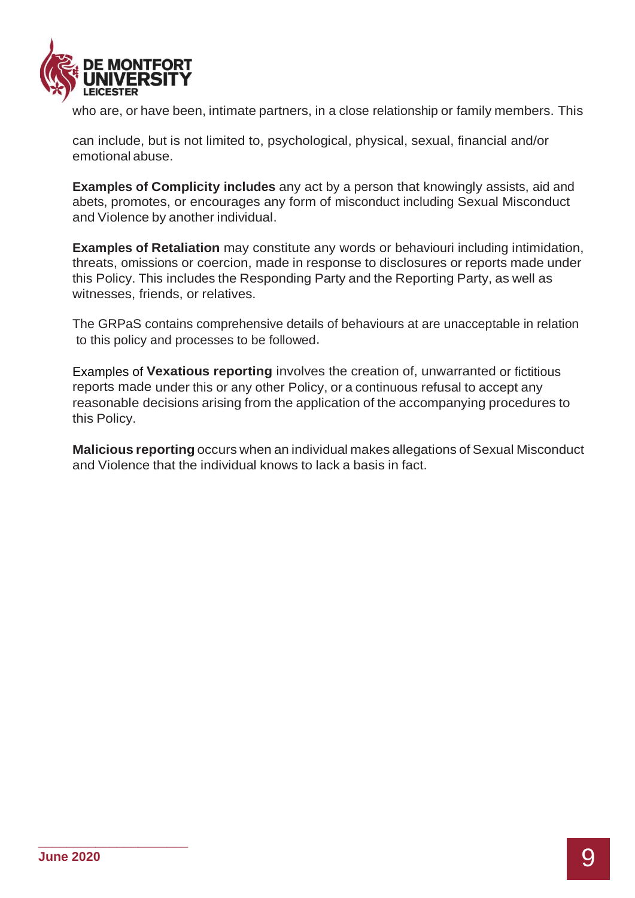

who are, or have been, intimate partners, in a close relationship or family members. This

can include, but is not limited to, psychological, physical, sexual, financial and/or emotional abuse.

**Examples of Complicity includes** any act by a person that knowingly assists, aid and abets, promotes, or encourages any form of misconduct including Sexual Misconduct and Violence by another individual.

**Examples of Retaliation** may constitute any words or behaviouri including intimidation, threats, omissions or coercion, made in response to disclosures or reports made under this Policy. This includes the Responding Party and the Reporting Party, as well as witnesses, friends, or relatives.

The GRPaS contains comprehensive details of behaviours at are unacceptable in relation to this policy and processes to be followed.

Examples of **Vexatious reporting** involves the creation of, unwarranted or fictitious reports made under this or any other Policy, or a continuous refusal to accept any reasonable decisions arising from the application of the accompanying procedures to this Policy.

**Malicious reporting** occurs when an individual makes allegations of Sexual Misconduct and Violence that the individual knows to lack a basis in fact.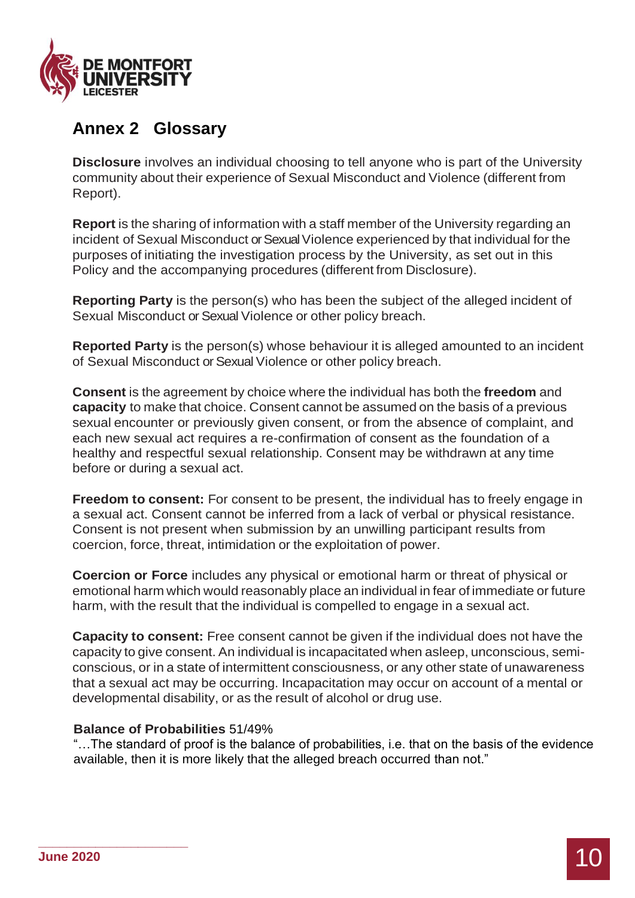

# **Annex 2 Glossary**

**Disclosure** involves an individual choosing to tell anyone who is part of the University community about their experience of Sexual Misconduct and Violence (different from Report).

**Report** is the sharing of information with a staff member of the University regarding an incident of Sexual Misconduct or Sexual Violence experienced by that individual for the purposes of initiating the investigation process by the University, as set out in this Policy and the accompanying procedures (different from Disclosure).

**Reporting Party** is the person(s) who has been the subject of the alleged incident of Sexual Misconduct or Sexual Violence or other policy breach.

**Reported Party** is the person(s) whose behaviour it is alleged amounted to an incident of Sexual Misconduct or Sexual Violence or other policy breach.

**Consent** is the agreement by choice where the individual has both the **freedom** and **capacity** to make that choice. Consent cannot be assumed on the basis of a previous sexual encounter or previously given consent, or from the absence of complaint, and each new sexual act requires a re-confirmation of consent as the foundation of a healthy and respectful sexual relationship. Consent may be withdrawn at any time before or during a sexual act.

**Freedom to consent:** For consent to be present, the individual has to freely engage in a sexual act. Consent cannot be inferred from a lack of verbal or physical resistance. Consent is not present when submission by an unwilling participant results from coercion, force, threat, intimidation or the exploitation of power.

**Coercion or Force** includes any physical or emotional harm or threat of physical or emotional harm which would reasonably place an individual in fear of immediate or future harm, with the result that the individual is compelled to engage in a sexual act.

**Capacity to consent:** Free consent cannot be given if the individual does not have the capacity to give consent. An individual is incapacitated when asleep, unconscious, semiconscious, or in a state of intermittent consciousness, or any other state of unawareness that a sexual act may be occurring. Incapacitation may occur on account of a mental or developmental disability, or as the result of alcohol or drug use.

#### **Balance of Probabilities** 51/49%

"…The standard of proof is the balance of probabilities, i.e. that on the basis of the evidence available, then it is more likely that the alleged breach occurred than not."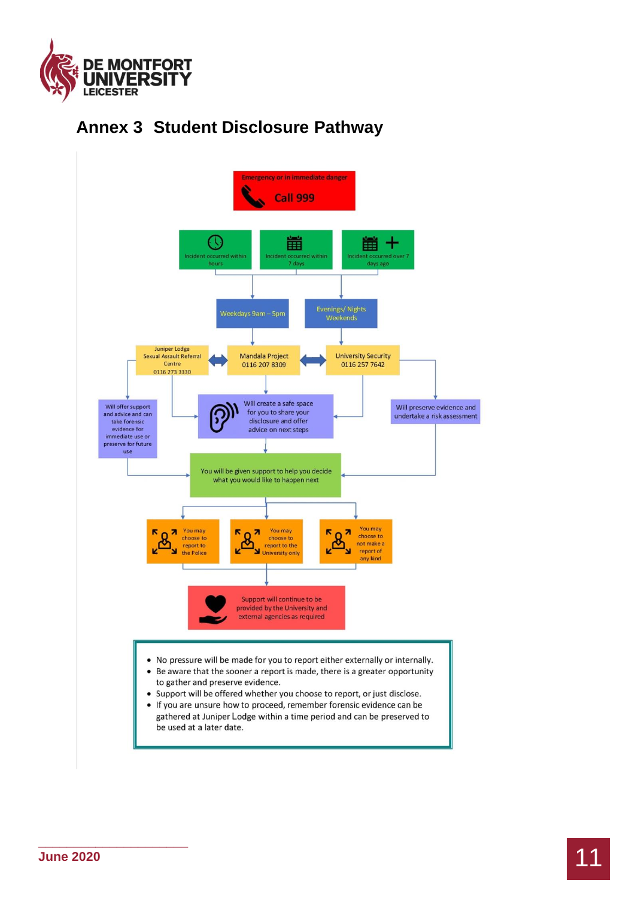

# **Annex 3 Student Disclosure Pathway**

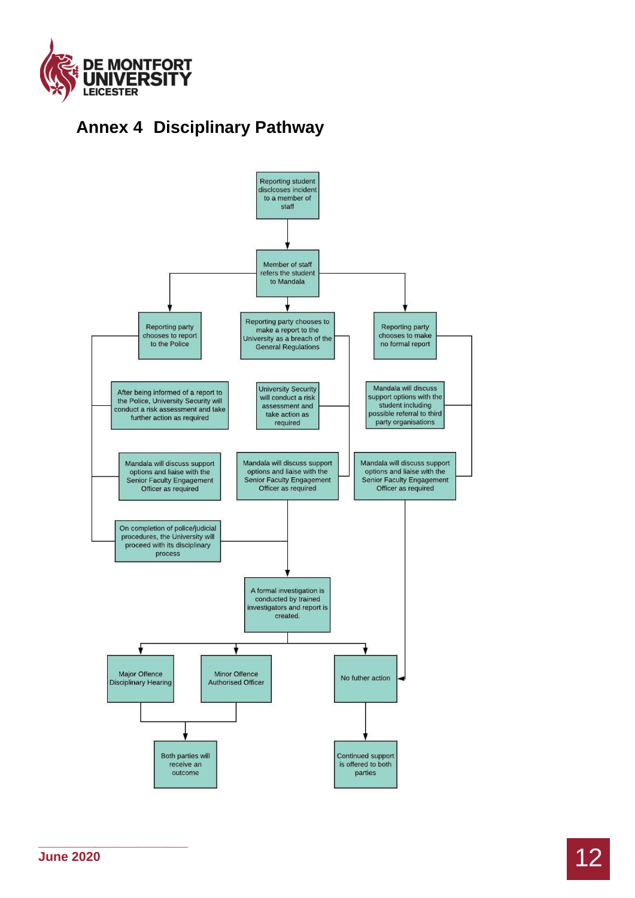

# **Annex 4 Disciplinary Pathway**